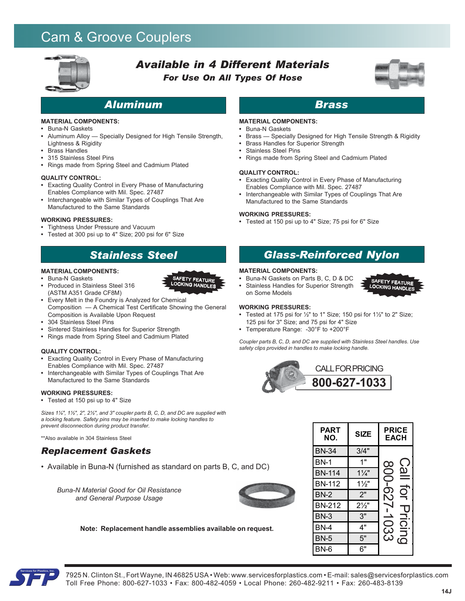# Cam & Groove Couplers



# *Available in 4 Different Materials For Use On All Types Of Hose*



SAFETY FEATURE<br>LOCKING HANDLES

# *Aluminum Brass*

### **MATERIAL COMPONENTS:**

- **•** Buna-N Gaskets
- **•** Aluminum Alloy Specially Designed for High Tensile Strength, Lightness & Rigidity
- **•** Brass Handles
- **•** 315 Stainless Steel Pins
- **•** Rings made from Spring Steel and Cadmium Plated

#### **QUALITY CONTROL:**

- **•** Exacting Quality Control in Every Phase of Manufacturing Enables Compliance with Mil. Spec. 27487
- **•** Interchangeable with Similar Types of Couplings That Are Manufactured to the Same Standards

### **WORKING PRESSURES:**

- **•** Tightness Under Pressure and Vacuum
- **•** Tested at 300 psi up to 4" Size; 200 psi for 6" Size

# *Stainless Steel*

### **MATERIAL COMPONENTS:**

- **•** Buna-N Gaskets
- **•** Produced in Stainless Steel 316 (ASTM A351 Grade CF8M)
- **•** Every Melt in the Foundry is Analyzed for Chemical Composition — A Chemical Test Certificate Showing the General Composition is Available Upon Request
- **•** 304 Stainless Steel Pins
- 
- **•** Sintered Stainless Handles for Superior Strength **•** Rings made from Spring Steel and Cadmium Plated

### **QUALITY CONTROL:**

- **•** Exacting Quality Control in Every Phase of Manufacturing Enables Compliance with Mil. Spec. 27487
- **•** Interchangeable with Similar Types of Couplings That Are Manufactured to the Same Standards

### **WORKING PRESSURES:**

**•** Tested at 150 psi up to 4" Size

*Sizes 1¼", 1½", 2", 2½", and 3" coupler parts B, C, D, and DC are supplied with a locking feature. Safety pins may be inserted to make locking handles to prevent disconnection during product transfer.*

\*\*Also available in 304 Stainless Steel

### *Replacement Gaskets*

• Available in Buna-N (furnished as standard on parts B, C, and DC)

*Buna-N Material Good for Oil Resistance and General Purpose Usage*



**Note: Replacement handle assemblies available on request.**

SAFETY FEATURE LOCKING HANDLES



### **MATERIAL COMPONENTS:**

- **•** Buna-N Gaskets
- **•** Brass Specially Designed for High Tensile Strength & Rigidity
- **•** Brass Handles for Superior Strength
- **•** Stainless Steel Pins
- **•** Rings made from Spring Steel and Cadmium Plated

### **QUALITY CONTROL:**

- **•** Exacting Quality Control in Every Phase of Manufacturing Enables Compliance with Mil. Spec. 27487
- **•** Interchangeable with Similar Types of Couplings That Are Manufactured to the Same Standards

#### **WORKING PRESSURES:**

**•** Tested at 150 psi up to 4" Size; 75 psi for 6" Size

### *Glass-Reinforced Nylon*

### **MATERIAL COMPONENTS:**

- **•** Buna-N Gaskets on Parts B, C, D & DC
- **•** Stainless Handles for Superior Strength on Some Models



- **•** Tested at 175 psi for ½" to 1" Size; 150 psi for 1½" to 2" Size; 125 psi for 3" Size; and 75 psi for 4" Size
- **•** Temperature Range: -30°F to +200°F

*Coupler parts B, C, D, and DC are supplied with Stainless Steel handles. Use safety clips provided in handles to make locking handle.*



| PART<br>NO.   | <b>SIZE</b>    | <b>PRICE</b><br><b>EACH</b> |  |  |
|---------------|----------------|-----------------------------|--|--|
| <b>BN-34</b>  | 3/4"           |                             |  |  |
| <b>BN-1</b>   | 1"             | $\infty$                    |  |  |
| <b>BN-114</b> | $1\frac{1}{4}$ | യ<br>S                      |  |  |
| <b>BN-112</b> | $1\frac{1}{2}$ |                             |  |  |
| <b>BN-2</b>   | 2"             | ರ್<br>ာ                     |  |  |
| <b>BN-212</b> | $2\frac{1}{2}$ |                             |  |  |
| <b>BN-3</b>   | 3"             |                             |  |  |
| <b>BN-4</b>   | 4"             | <u>၃</u>                    |  |  |
| <b>BN-5</b>   | 5"             | cing<br>ယ                   |  |  |
| BN-6          | 6"             |                             |  |  |

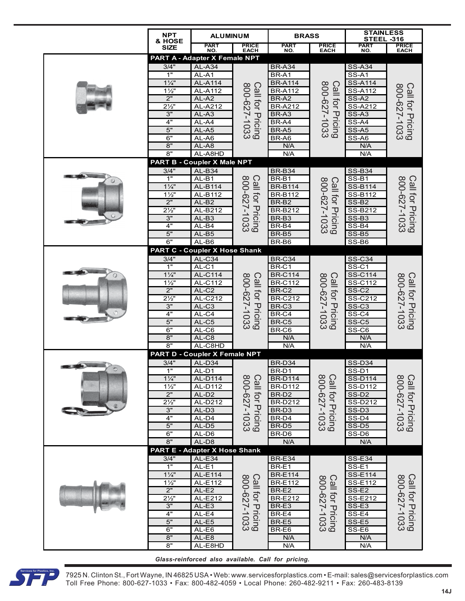|         | <b>NPT</b><br>& HOSE                                                                                                   | <b>ALUMINUM</b>                                                                                                                                                                              |                                  | <b>BRASS</b>                                                                                                                            |                                  | <b>STAINLESS</b><br><b>STEEL -316</b>                                                                                                                       |                                         |
|---------|------------------------------------------------------------------------------------------------------------------------|----------------------------------------------------------------------------------------------------------------------------------------------------------------------------------------------|----------------------------------|-----------------------------------------------------------------------------------------------------------------------------------------|----------------------------------|-------------------------------------------------------------------------------------------------------------------------------------------------------------|-----------------------------------------|
|         | <b>SIZE</b>                                                                                                            | PART<br>NO.                                                                                                                                                                                  | <b>PRICE</b><br>EACH             | PART<br>NO.                                                                                                                             | <b>PRICE</b><br>EACH             | PART<br>NO.                                                                                                                                                 | <b>PRICE</b><br>EACH                    |
|         | 3/4"<br>1"<br>$1\frac{1}{4}$                                                                                           | PART A - Adapter X Female NPT<br>$AL-A34$<br>AL-A1<br><b>AL-A114</b>                                                                                                                         |                                  | <b>BR-A34</b><br>BR-A1<br><b>BR-A114</b>                                                                                                |                                  | <b>SS-A34</b><br>$SS-A1$<br><b>SS-A114</b>                                                                                                                  |                                         |
|         | $1\frac{1}{2}$<br>2"<br>$2\frac{1}{2}$<br>3"                                                                           | <b>AL-A112</b><br>AL-A2<br>AL-A212<br>$AL-A3$                                                                                                                                                | Call for Pricing<br>800-627-1033 | <b>BR-A112</b><br>BR-A2<br><b>BR-A212</b><br>BR-A3                                                                                      | Call for Pricing<br>800-627-1033 | <b>SS-A112</b><br>SS-A2<br>SS-A212<br>SS-A3                                                                                                                 | Call for Pricing<br>800-627-1033        |
|         | 4"<br>5"<br>6"<br>8"<br>8"                                                                                             | AL-A4<br>AL-A5<br>AL-A6<br>AL-A8<br>AL-A8HD                                                                                                                                                  |                                  | BR-A4<br>BR-A5<br>BR-A6<br>N/A<br>N/A                                                                                                   |                                  | SS-A4<br>SS-A5<br>$SS-AB$<br>N/A<br>N/A                                                                                                                     |                                         |
|         |                                                                                                                        | <b>PART B - Coupler X Male NPT</b>                                                                                                                                                           |                                  |                                                                                                                                         |                                  |                                                                                                                                                             |                                         |
|         | 3/4"<br>1"<br>$1\frac{1}{4}$<br>$1\frac{1}{2}$<br>2"<br>$2\frac{1}{2}$<br>3"<br>4"<br>5"<br>6"                         | $AL-B34$<br>AL-B1<br>AL-B114<br>AL-B112<br>$AL-B2$<br>AL-B212<br>$AL-B3$<br>$AL-B4$<br>$AL-B5$<br>$AL-B6$<br><b>PART C - Coupler X Hose Shank</b>                                            | Call for Pricing<br>800-627-1033 | <b>BR-B34</b><br>BR-B1<br><b>BR-B114</b><br><b>BR-B112</b><br>BR-B2<br><b>BR-B212</b><br>BR-B3<br>BR-B4<br>BR-B5<br>BR-B6               | Call for Pricing<br>800-627-1033 | <b>SS-B34</b><br>$SS-B1$<br><b>SS-B114</b><br>SS-B112<br>$SS-B2$<br>SS-B212<br>$SS-B3$<br>$SS-B4$<br>$SS-B5$<br>$SS-B6$                                     | Call for Pricing<br>800-627-1033        |
|         | 3/4"<br>1"<br>$1\frac{1}{4}$<br>$1\frac{1}{2}$<br>2"<br>$2\frac{1}{2}$<br>3"<br>4"<br>5"<br>6"<br>8"<br>8"             | $AL-C34$<br>AL-C1<br><b>AL-C114</b><br>AL-C112<br>AL-C <sub>2</sub><br>$-C212$<br>AL<br>$AL-C3$<br>$AL-C4$<br>$AL-C5$<br>$AL-C6$<br>AL-C8<br>AL-C8HD<br><b>PART D - Coupler X Female NPT</b> | Call for Pricing<br>800-627-1033 | <b>BR-C34</b><br>BR-C1<br><b>BR-C114</b><br><b>BR-C112</b><br>BR-C2<br><b>BR-C212</b><br>BR-C3<br>BR-C4<br>BR-C5<br>BR-C6<br>N/A<br>N/A | Call for Pricing<br>800-627-1033 | <b>SS-C34</b><br>SS-C1<br>SS-C114<br>SS-C112<br>SS-C <sub>2</sub><br>SS-C212<br>SS-C <sub>3</sub><br>SS-C4<br>$SS-C5$<br>$SS-C6$<br>N/A<br>N/A              | 800-627-1033<br><b>Call for Pricing</b> |
| $\circ$ | 3/4"<br>1"<br>$1\frac{1}{4}$<br>$1\frac{1}{2}$<br>2"<br>$2\frac{1}{2}$<br>3"<br>4"<br>5"<br>6"<br>8"                   | AL-D34<br>AL-D1<br><b>AL-D114</b><br>AL-D112<br>AL-D <sub>2</sub><br>AL-D212<br>AL-D3<br>AL-D4<br>$AL-D5$<br>AL-D6<br>AL-D8<br>PART E - Adapter X Hose Shank                                 | Call for Pricing<br>800-627-1033 | BR-D34<br>BR-D1<br><b>BR-D114</b><br><b>BR-D112</b><br>BR-D <sub>2</sub><br><b>BR-D212</b><br>BR-D3<br>BR-D4<br>BR-D5<br>BR-D6<br>N/A   | Call for Pricing<br>800-627-1033 | <b>SS-D34</b><br>$SS-D1$<br><b>SS-D114</b><br>SS-D112<br>SS-D <sub>2</sub><br>SS-D212<br>SS-D <sub>3</sub><br>$S\overline{S-D4}$<br>$SS-D5$<br>SS-D6<br>N/A | Call for Pricing<br>800-627-1033        |
|         | 3/4"<br>$\overline{1}$<br>$1\frac{1}{4}$<br>$1\frac{1}{2}$<br>2"<br>$2\frac{1}{2}$<br>3"<br>4"<br>5"<br>6"<br>8"<br>8" | $AL-E34$<br>$AL-E1$<br>AL-E114<br>AL-E112<br>$AL-E2$<br>AL-E212<br>AL-E3<br>AL-E4<br>$AL-E5$<br>$AL-E6$<br>$AL-E8$<br>AL-E8HD                                                                | Call for Pricing<br>800-627-1033 | <b>BR-E34</b><br>BR-E1<br><b>BR-E114</b><br><b>BR-E112</b><br>BR-E2<br><b>BR-E212</b><br>BR-E3<br>BR-E4<br>BR-E5<br>BR-E6<br>N/A<br>N/A | Call for Pricing<br>800-627-1033 | <b>SS-E34</b><br>$SS-E1$<br><b>SS-E114</b><br>SS-E112<br>SS-E2<br>SS-E212<br>SS-E3<br>SS-E4<br>SS-E5<br>$SS-E6$<br>N/A<br>N/A                               | Call for Pricing<br>800-627-1033        |



7925 N. Clinton St., Fort Wayne, IN 46825 USA • Web: www.servicesforplastics.com • E-mail: sales@servicesforplastics.com Toll Free Phone: 800-627-1033 • Fax: 800-482-4059 • Local Phone: 260-482-9211 • Fax: 260-483-8139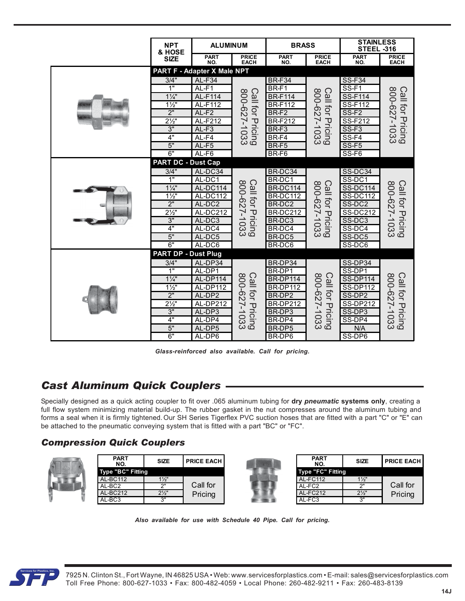|                                                                                                                                                                                                                                                                          | <b>NPT</b><br>& HOSE                                            | <b>ALUMINUM</b>             |                                         | <b>BRASS</b>                                       |                                         | <b>STAINLESS</b><br><b>STEEL -316</b> |                                         |
|--------------------------------------------------------------------------------------------------------------------------------------------------------------------------------------------------------------------------------------------------------------------------|-----------------------------------------------------------------|-----------------------------|-----------------------------------------|----------------------------------------------------|-----------------------------------------|---------------------------------------|-----------------------------------------|
|                                                                                                                                                                                                                                                                          | <b>SIZE</b>                                                     | <b>PART</b><br>NO.          | <b>PRICE</b><br><b>EACH</b>             | <b>PART</b><br>NO.                                 | <b>PRICE</b><br><b>EACH</b>             | <b>PART</b><br>NO.                    | <b>PRICE</b><br><b>EACH</b>             |
|                                                                                                                                                                                                                                                                          |                                                                 | PART F - Adapter X Male NPT |                                         |                                                    |                                         |                                       |                                         |
|                                                                                                                                                                                                                                                                          | 3/4"<br>1"                                                      | AL-F34                      |                                         | <b>BR-F34</b>                                      |                                         | <b>SS-F34</b>                         |                                         |
|                                                                                                                                                                                                                                                                          | $1\frac{1}{4}$                                                  | AL-F1<br>AL-F114            |                                         | BR-F1<br><b>BR-F114</b>                            |                                         | $SS-F1$<br>SS-F114                    |                                         |
|                                                                                                                                                                                                                                                                          | $1\frac{1}{2}$                                                  | AL-F112                     |                                         | <b>BR-F112</b>                                     |                                         | <b>SS-F112</b>                        |                                         |
|                                                                                                                                                                                                                                                                          | 2"                                                              | $AL-F2$                     |                                         | BR-F2                                              |                                         | SS-F <sub>2</sub>                     |                                         |
|                                                                                                                                                                                                                                                                          | $2\frac{1}{2}$<br>3"                                            | AL-F212<br>$AL-F3$          |                                         | <b>BR-F212</b><br>BR-F3                            |                                         | SS-F212<br>$SS-F3$                    |                                         |
|                                                                                                                                                                                                                                                                          | 4"                                                              | $AL-F4$                     | Call for Pricing<br>800-627-1033        | BR-F4                                              | Call for Pricing<br>800-627-1033        | $SS-F4$                               | Call for Pricing<br>800-627-1033        |
|                                                                                                                                                                                                                                                                          | 5"                                                              | $AL-F5$                     |                                         | BR-F5                                              |                                         | SS-F5                                 |                                         |
|                                                                                                                                                                                                                                                                          | 6"                                                              | AL-F6                       |                                         | BR-F6                                              |                                         | SS-F6                                 |                                         |
|                                                                                                                                                                                                                                                                          | <b>PART DC - Dust Cap</b><br>3/4"                               | AL-DC34                     |                                         | BR-DC34                                            |                                         | SS-DC34                               |                                         |
|                                                                                                                                                                                                                                                                          | 1"                                                              | AL-DC1                      |                                         | BR-DC1                                             |                                         | SS-DC1                                |                                         |
|                                                                                                                                                                                                                                                                          | $1\frac{1}{4}$                                                  | AL-DC114                    | Call for Pricing<br>800-627-1033        | <b>BR-DC114</b>                                    | 800-627-1033<br><b>Call for Pricing</b> | <b>SS-DC114</b>                       | Call for Pricing<br>800-627-1033        |
|                                                                                                                                                                                                                                                                          | $1\frac{1}{2}$                                                  | AL-DC112                    |                                         | <b>BR-DC112</b>                                    |                                         | <b>SS-DC112</b>                       |                                         |
|                                                                                                                                                                                                                                                                          | 2"<br>$2\frac{1}{2}$                                            | AL-DC2<br>AL-DC212          |                                         | BR-DC2<br>BR-DC212                                 |                                         | SS-DC2<br>SS-DC212                    |                                         |
|                                                                                                                                                                                                                                                                          | 3"                                                              | AL-DC3                      |                                         | BR-DC3                                             |                                         | SS-DC3                                |                                         |
|                                                                                                                                                                                                                                                                          | 4"                                                              | AL-DC4                      |                                         | BR-DC4                                             |                                         | SS-DC4                                |                                         |
|                                                                                                                                                                                                                                                                          | 5"                                                              | AL-DC5                      |                                         | BR-DC5                                             |                                         | SS-DC5                                |                                         |
|                                                                                                                                                                                                                                                                          | 6"<br><b>PART DP - Dust Plug</b>                                | AL-DC6                      |                                         | BR-DC6                                             |                                         | SS-DC6                                |                                         |
|                                                                                                                                                                                                                                                                          | 3/4"                                                            | AL-DP34                     |                                         | BR-DP34                                            |                                         | SS-DP34                               |                                         |
|                                                                                                                                                                                                                                                                          | 1"                                                              | AL-DP1                      |                                         | BR-DP1                                             |                                         | SS-DP1                                |                                         |
|                                                                                                                                                                                                                                                                          | $1\frac{1}{4}$                                                  | AL-DP114                    |                                         | BR-DP114                                           |                                         | <b>SS-DP114</b>                       |                                         |
|                                                                                                                                                                                                                                                                          | $1\frac{1}{2}$                                                  | AL-DP112                    |                                         | <b>BR-DP112</b>                                    |                                         | <b>SS-DP112</b>                       |                                         |
|                                                                                                                                                                                                                                                                          | 2"<br>$2\frac{1}{2}$                                            | AL-DP2<br><b>AL-DP212</b>   |                                         | BR-DP2<br><b>BR-DP212</b>                          |                                         | SS-DP2<br><b>SS-DP212</b>             |                                         |
|                                                                                                                                                                                                                                                                          | 3"                                                              | AL-DP3                      |                                         | BR-DP3                                             |                                         | SS-DP3                                |                                         |
|                                                                                                                                                                                                                                                                          | 4"                                                              | AL-DP4                      | 800-627-1033<br><b>Call for Pricing</b> | BR-DP4                                             | 800-627-1033<br><b>Call for Pricing</b> | SS-DP4                                | 800-627-1033<br><b>Call for Pricing</b> |
|                                                                                                                                                                                                                                                                          | 5"<br>6"                                                        | AL-DP5                      |                                         | BR-DP5                                             |                                         | N/A                                   |                                         |
|                                                                                                                                                                                                                                                                          |                                                                 | AL-DP6                      |                                         | BR-DP6                                             |                                         | SS-DP6                                |                                         |
| ast Aluminum Quick Couplers<br>ecially designed as a quick acting coupler to fit over .065 aluminum tubing for dry pneumatic systems only, creating<br>I flow system minimizing material build-up. The rubber gasket in the nut compresses around the aluminum tubing ar |                                                                 |                             |                                         | Glass-reinforced also available. Call for pricing. |                                         |                                       |                                         |
| ms a seal when it is firmly tightened. Our SH Series Tigerflex PVC suction hoses that are fitted with a part "C" or "E" c<br>attached to the pneumatic conveying system that is fitted with a part "BC" or "FC".<br>ompression Quick Couplers                            |                                                                 |                             |                                         |                                                    |                                         |                                       |                                         |
|                                                                                                                                                                                                                                                                          |                                                                 |                             |                                         |                                                    |                                         |                                       |                                         |
| <b>PART</b><br>NO.                                                                                                                                                                                                                                                       | <b>SIZE</b>                                                     | <b>PRICE EACH</b>           |                                         |                                                    | <b>PART</b><br>NO.                      | <b>SIZE</b>                           | <b>PRICE EAC</b>                        |
| Type "BC" Fitting                                                                                                                                                                                                                                                        |                                                                 |                             |                                         |                                                    | Type "FC" Fitting                       |                                       |                                         |
| <b>AL-BC112</b><br>AL-BC2                                                                                                                                                                                                                                                | $1\frac{1}{2}$<br>2"                                            | Call for                    |                                         |                                                    | <b>AL-FC112</b><br>AL-FC2               | $1\frac{1}{2}$<br>2"                  | Call for                                |
| <b>AL-BC212</b>                                                                                                                                                                                                                                                          | $2\frac{1}{2}$                                                  | Pricing                     |                                         |                                                    | <b>AL-FC212</b>                         | $2\frac{1}{2}$                        | Pricing                                 |
| AL-BC3                                                                                                                                                                                                                                                                   | 3"                                                              |                             |                                         |                                                    | AL-FC3                                  | 3"                                    |                                         |
|                                                                                                                                                                                                                                                                          | Also available for use with Schedule 40 Pipe. Call for pricing. |                             |                                         |                                                    |                                         |                                       |                                         |

*Glass-reinforced also available. Call for pricing.*

# *Cast Aluminum Quick Couplers*

# *Compression Quick Couplers*